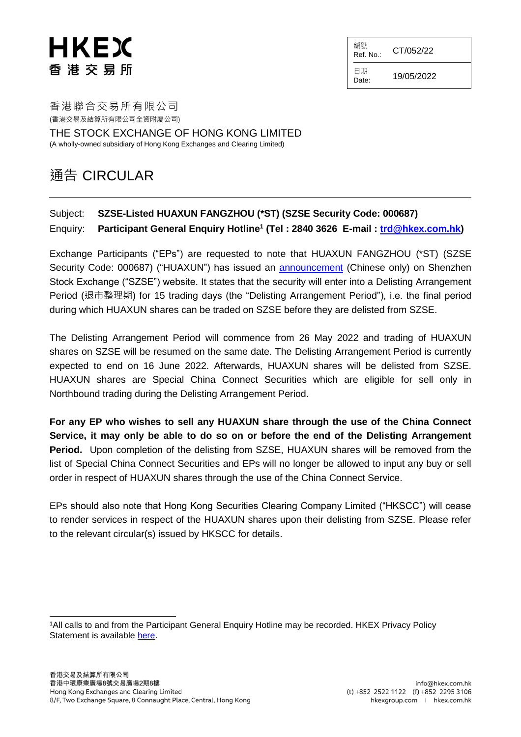## HKEX 香港交易所

編號  $Ref. No.:$  CT/052/22

日期

 $D_{\text{date}:}$  19/05/2022

香港聯合交易所有限公司 (香港交易及結算所有限公司全資附屬公司)

THE STOCK EXCHANGE OF HONG KONG LIMITED (A wholly-owned subsidiary of Hong Kong Exchanges and Clearing Limited)

## 通告 CIRCULAR

## Subject: **SZSE-Listed HUAXUN FANGZHOU (\*ST) (SZSE Security Code: 000687)** Enquiry: **Participant General Enquiry Hotline<sup>1</sup> (Tel : 2840 3626 E-mail : [trd@hkex.com.hk\)](mailto:trd@hkex.com.hk)**

Exchange Participants ("EPs") are requested to note that HUAXUN FANGZHOU (\*ST) (SZSE Security Code: 000687) ("HUAXUN") has issued an [announcement](http://www.szse.cn/disclosure/listed/bulletinDetail/index.html?4a17a962-4c5a-41fe-ac5b-54dfcdf660dd) (Chinese only) on Shenzhen Stock Exchange ("SZSE") website. It states that the security will enter into a Delisting Arrangement Period (退市整理期) for 15 trading days (the "Delisting Arrangement Period"), i.e. the final period during which HUAXUN shares can be traded on SZSE before they are delisted from SZSE.

The Delisting Arrangement Period will commence from 26 May 2022 and trading of HUAXUN shares on SZSE will be resumed on the same date. The Delisting Arrangement Period is currently expected to end on 16 June 2022. Afterwards, HUAXUN shares will be delisted from SZSE. HUAXUN shares are Special China Connect Securities which are eligible for sell only in Northbound trading during the Delisting Arrangement Period.

**For any EP who wishes to sell any HUAXUN share through the use of the China Connect Service, it may only be able to do so on or before the end of the Delisting Arrangement Period.** Upon completion of the delisting from SZSE, HUAXUN shares will be removed from the list of Special China Connect Securities and EPs will no longer be allowed to input any buy or sell order in respect of HUAXUN shares through the use of the China Connect Service.

EPs should also note that Hong Kong Securities Clearing Company Limited ("HKSCC") will cease to render services in respect of the HUAXUN shares upon their delisting from SZSE. Please refer to the relevant circular(s) issued by HKSCC for details.

l <sup>1</sup>All calls to and from the Participant General Enquiry Hotline may be recorded. HKEX Privacy Policy Statement is available [here.](http://www.hkex.com.hk/Global/Exchange/Privacy-Policy?sc_lang=en)